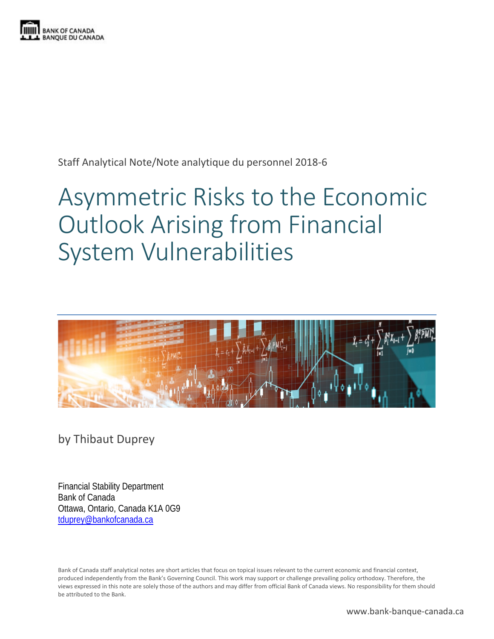

Staff Analytical Note/Note analytique du personnel 2018-6

# Asymmetric Risks to the Economic Outlook Arising from Financial System Vulnerabilities



by Thibaut Duprey

Financial Stability Department Bank of Canada Ottawa, Ontario, Canada K1A 0G9 [tduprey@bankofcanada.ca](mailto:tduprey@bankofcanada.ca)

Bank of Canada staff analytical notes are short articles that focus on topical issues relevant to the current economic and financial context, produced independently from the Bank's Governing Council. This work may support or challenge prevailing policy orthodoxy. Therefore, the views expressed in this note are solely those of the authors and may differ from official Bank of Canada views. No responsibility for them should be attributed to the Bank.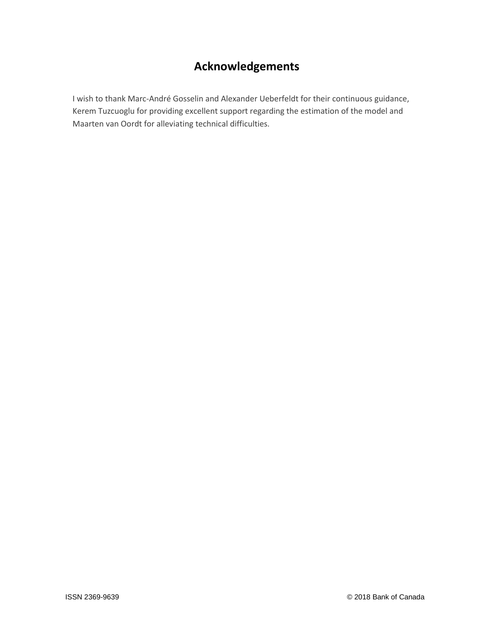## **Acknowledgements**

I wish to thank Marc-André Gosselin and Alexander Ueberfeldt for their continuous guidance, Kerem Tuzcuoglu for providing excellent support regarding the estimation of the model and Maarten van Oordt for alleviating technical difficulties.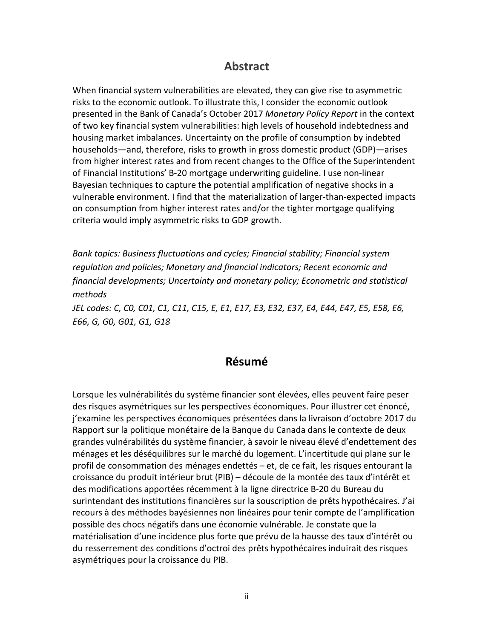### **Abstract**

When financial system vulnerabilities are elevated, they can give rise to asymmetric risks to the economic outlook. To illustrate this, I consider the economic outlook presented in the Bank of Canada's October 2017 *Monetary Policy Report* in the context of two key financial system vulnerabilities: high levels of household indebtedness and housing market imbalances. Uncertainty on the profile of consumption by indebted households—and, therefore, risks to growth in gross domestic product (GDP)—arises from higher interest rates and from recent changes to the Office of the Superintendent of Financial Institutions' B-20 mortgage underwriting guideline. I use non-linear Bayesian techniques to capture the potential amplification of negative shocks in a vulnerable environment. I find that the materialization of larger-than-expected impacts on consumption from higher interest rates and/or the tighter mortgage qualifying criteria would imply asymmetric risks to GDP growth.

*Bank topics: Business fluctuations and cycles; Financial stability; Financial system regulation and policies; Monetary and financial indicators; Recent economic and financial developments; Uncertainty and monetary policy; Econometric and statistical methods JEL codes: C, C0, C01, C1, C11, C15, E, E1, E17, E3, E32, E37, E4, E44, E47, E5, E58, E6, E66, G, G0, G01, G1, G18*

## **Résumé**

Lorsque les vulnérabilités du système financier sont élevées, elles peuvent faire peser des risques asymétriques sur les perspectives économiques. Pour illustrer cet énoncé, j'examine les perspectives économiques présentées dans la livraison d'octobre 2017 du Rapport sur la politique monétaire de la Banque du Canada dans le contexte de deux grandes vulnérabilités du système financier, à savoir le niveau élevé d'endettement des ménages et les déséquilibres sur le marché du logement. L'incertitude qui plane sur le profil de consommation des ménages endettés – et, de ce fait, les risques entourant la croissance du produit intérieur brut (PIB) – découle de la montée des taux d'intérêt et des modifications apportées récemment à la ligne directrice B-20 du Bureau du surintendant des institutions financières sur la souscription de prêts hypothécaires. J'ai recours à des méthodes bayésiennes non linéaires pour tenir compte de l'amplification possible des chocs négatifs dans une économie vulnérable. Je constate que la matérialisation d'une incidence plus forte que prévu de la hausse des taux d'intérêt ou du resserrement des conditions d'octroi des prêts hypothécaires induirait des risques asymétriques pour la croissance du PIB.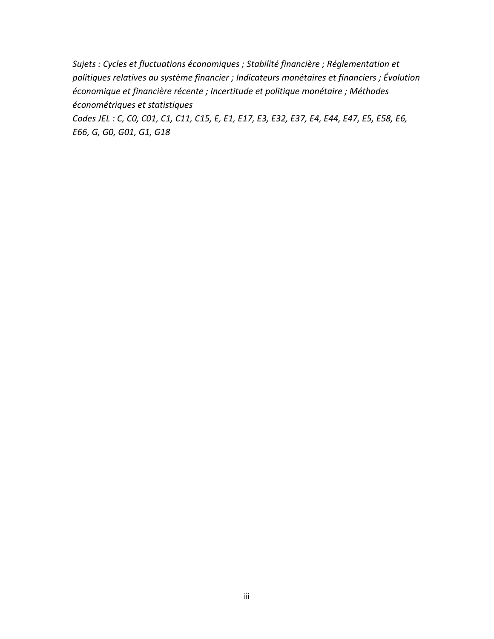*Sujets : Cycles et fluctuations économiques ; Stabilité financière ; Réglementation et politiques relatives au système financier ; Indicateurs monétaires et financiers ; Évolution économique et financière récente ; Incertitude et politique monétaire ; Méthodes économétriques et statistiques*

*Codes JEL : C, C0, C01, C1, C11, C15, E, E1, E17, E3, E32, E37, E4, E44, E47, E5, E58, E6, E66, G, G0, G01, G1, G18*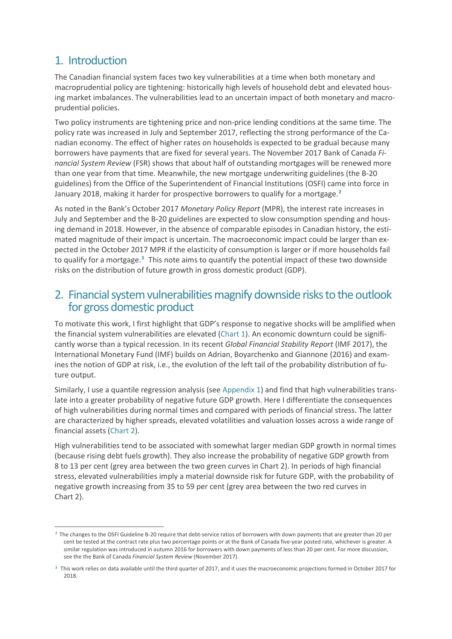## 1. Introduction

 $\overline{a}$ 

The Canadian financial system faces two key vulnerabilities at a time when both monetary and macroprudential policy are tightening: historically high levels of household debt and elevated housing market imbalances. The vulnerabilities lead to an uncertain impact of both monetary and macroprudential policies.

Two policy instruments are tightening price and non-price lending conditions at the same time. The policy rate was increased in July and September 2017, reflecting the strong performance of the Canadian economy. The effect of higher rates on households is expected to be gradual because many borrowers have payments that are fixed for several years. The November 2017 Bank of Canada *Financial System Review* (FSR) shows that about half of outstanding mortgages will be renewed more than one year from that time. Meanwhile, the new mortgage underwriting guidelines (the B-20 guidelines) from the Office of the Superintendent of Financial Institutions (OSFI) came into force in January 2018, making it harder for prospective borrowers to qualify for a mortgage.**[2](#page-4-0)**

As noted in the Bank's October 2017 *Monetary Policy Report* (MPR), the interest rate increases in July and September and the B-20 guidelines are expected to slow consumption spending and housing demand in 2018. However, in the absence of comparable episodes in Canadian history, the estimated magnitude of their impact is uncertain. The macroeconomic impact could be larger than expected in the October 2017 MPR if the elasticity of consumption is larger or if more households fail to qualify for a mortgage. **[3](#page-4-1)** This note aims to quantify the potential impact of these two downside risks on the distribution of future growth in gross domestic product (GDP).

## 2. Financial system vulnerabilities magnify downside risks to the outlook for gross domestic product

To motivate this work, I first highlight that GDP's response to negative shocks will be amplified when the financial system vulnerabilities are elevated (Chart 1). An economic downturn could be significantly worse than a typical recession. In its recent *Global Financial Stability Report* (IMF 2017), the International Monetary Fund (IMF) builds on Adrian, Boyarchenko and Giannone (2016) and examines the notion of GDP at risk, i.e., the evolution of the left tail of the probability distribution of future output.

Similarly, I use a quantile regression analysis (see Appendix 1) and find that high vulnerabilities translate into a greater probability of negative future GDP growth. Here I differentiate the consequences of high vulnerabilities during normal times and compared with periods of financial stress. The latter are characterized by higher spreads, elevated volatilities and valuation losses across a wide range of financial assets (Chart 2).

High vulnerabilities tend to be associated with somewhat larger median GDP growth in normal times (because rising debt fuels growth). They also increase the probability of negative GDP growth from 8 to 13 per cent (grey area between the two green curves in Chart 2). In periods of high financial stress, elevated vulnerabilities imply a material downside risk for future GDP, with the probability of negative growth increasing from 35 to 59 per cent (grey area between the two red curves in Chart 2).

<span id="page-4-0"></span>**<sup>2</sup>** The changes to the OSFI Guideline B-20 require that debt-service ratios of borrowers with down payments that are greater than 20 per cent be tested at the contract rate plus two percentage points or at the Bank of Canada five-year posted rate, whichever is greater. A similar regulation was introduced in autumn 2016 for borrowers with down payments of less than 20 per cent. For more discussion, see the the Bank of Canada *Financial System Review* (November 2017).

<span id="page-4-1"></span>**<sup>3</sup>** This work relies on data available until the third quarter of 2017, and it uses the macroeconomic projections formed in October 2017 for 2018.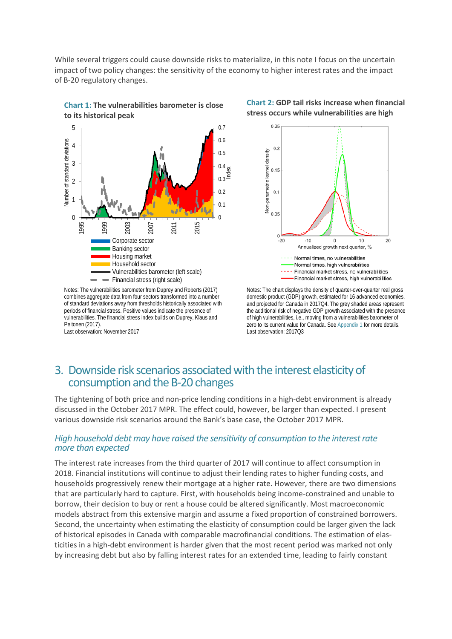While several triggers could cause downside risks to materialize, in this note I focus on the uncertain impact of two policy changes: the sensitivity of the economy to higher interest rates and the impact of B-20 regulatory changes.



**Chart 1: The vulnerabilities barometer is close** 

Notes: The vulnerabilities barometer from Duprey and Roberts (2017) combines aggregate data from four sectors transformed into a number of standard deviations away from thresholds historically associated with periods of financial stress. Positive values indicate the presence of vulnerabilities. The financial stress index builds on Duprey, Klaus and Peltonen (2017).

Last observation: November 2017





Notes: The chart displays the density of quarter-over-quarter real gross domestic product (GDP) growth, estimated for 16 advanced economies, and projected for Canada in 2017Q4. The grey shaded areas represent the additional risk of negative GDP growth associated with the presence of high vulnerabilities, i.e., moving from a vulnerabilities barometer of zero to its current value for Canada. See Appendix 1 for more details. Last observation: 2017Q3

## 3. Downside risk scenarios associated with the interest elasticity of consumption and the B-20 changes

The tightening of both price and non-price lending conditions in a high-debt environment is already discussed in the October 2017 MPR. The effect could, however, be larger than expected. I present various downside risk scenarios around the Bank's base case, the October 2017 MPR.

#### *High household debt may have raised the sensitivity of consumption to the interest rate more than expected*

The interest rate increases from the third quarter of 2017 will continue to affect consumption in 2018. Financial institutions will continue to adjust their lending rates to higher funding costs, and households progressively renew their mortgage at a higher rate. However, there are two dimensions that are particularly hard to capture. First, with households being income-constrained and unable to borrow, their decision to buy or rent a house could be altered significantly. Most macroeconomic models abstract from this extensive margin and assume a fixed proportion of constrained borrowers. Second, the uncertainty when estimating the elasticity of consumption could be larger given the lack of historical episodes in Canada with comparable macrofinancial conditions. The estimation of elasticities in a high-debt environment is harder given that the most recent period was marked not only by increasing debt but also by falling interest rates for an extended time, leading to fairly constant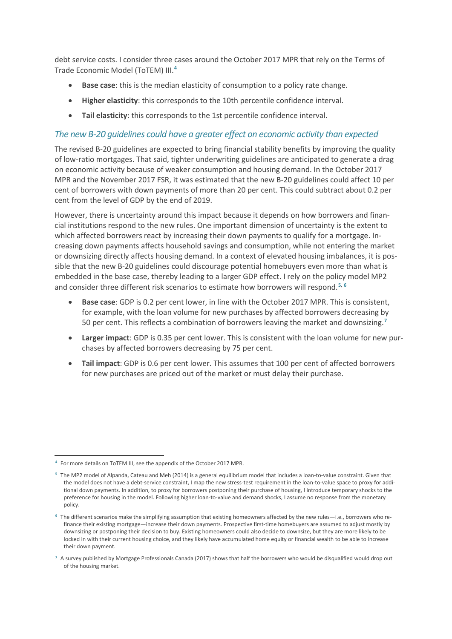debt service costs. I consider three cases around the October 2017 MPR that rely on the Terms of Trade Economic Model (ToTEM) III. **[4](#page-6-0)**

- **Base case**: this is the median elasticity of consumption to a policy rate change.
- **Higher elasticity**: this corresponds to the 10th percentile confidence interval.
- **Tail elasticity**: this corresponds to the 1st percentile confidence interval.

#### *The new B-20 guidelines could have a greater effect on economic activity than expected*

The revised B-20 guidelines are expected to bring financial stability benefits by improving the quality of low-ratio mortgages. That said, tighter underwriting guidelines are anticipated to generate a drag on economic activity because of weaker consumption and housing demand. In the October 2017 MPR and the November 2017 FSR, it was estimated that the new B-20 guidelines could affect 10 per cent of borrowers with down payments of more than 20 per cent. This could subtract about 0.2 per cent from the level of GDP by the end of 2019.

However, there is uncertainty around this impact because it depends on how borrowers and financial institutions respond to the new rules. One important dimension of uncertainty is the extent to which affected borrowers react by increasing their down payments to qualify for a mortgage. Increasing down payments affects household savings and consumption, while not entering the market or downsizing directly affects housing demand. In a context of elevated housing imbalances, it is possible that the new B-20 guidelines could discourage potential homebuyers even more than what is embedded in the base case, thereby leading to a larger GDP effect. I rely on the policy model MP2 and consider three different risk scenarios to estimate how borrowers will respond. **[5](#page-6-1)**, **[6](#page-6-2)**

- **Base case**: GDP is 0.2 per cent lower, in line with the October 2017 MPR. This is consistent, for example, with the loan volume for new purchases by affected borrowers decreasing by 50 per cent. This reflects a combination of borrowers leaving the market and downsizing. **[7](#page-6-3)**
- **Larger impact**: GDP is 0.35 per cent lower. This is consistent with the loan volume for new purchases by affected borrowers decreasing by 75 per cent.
- **Tail impact**: GDP is 0.6 per cent lower. This assumes that 100 per cent of affected borrowers for new purchases are priced out of the market or must delay their purchase.

<span id="page-6-0"></span> $\overline{a}$ **<sup>4</sup>** For more details on ToTEM III, see the appendix of the October 2017 MPR.

<span id="page-6-1"></span>**<sup>5</sup>** The MP2 model of Alpanda, Cateau and Meh (2014) is a general equilibrium model that includes a loan-to-value constraint. Given that the model does not have a debt-service constraint, I map the new stress-test requirement in the loan-to-value space to proxy for additional down payments. In addition, to proxy for borrowers postponing their purchase of housing, I introduce temporary shocks to the preference for housing in the model. Following higher loan-to-value and demand shocks, I assume no response from the monetary policy.

<span id="page-6-2"></span>**<sup>6</sup>** The different scenarios make the simplifying assumption that existing homeowners affected by the new rules—i.e., borrowers who refinance their existing mortgage—increase their down payments. Prospective first-time homebuyers are assumed to adjust mostly by downsizing or postponing their decision to buy. Existing homeowners could also decide to downsize, but they are more likely to be locked in with their current housing choice, and they likely have accumulated home equity or financial wealth to be able to increase their down payment.

<span id="page-6-3"></span>**<sup>7</sup>** A survey published by Mortgage Professionals Canada (2017) shows that half the borrowers who would be disqualified would drop out of the housing market.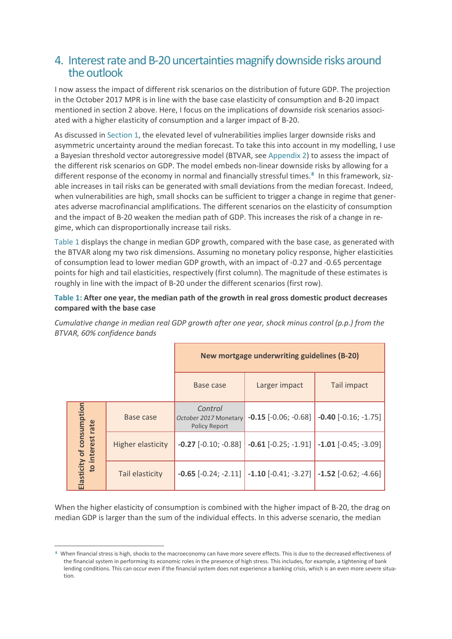## 4. Interest rate and B-20 uncertainties magnify downside risks around the outlook

I now assess the impact of different risk scenarios on the distribution of future GDP. The projection in the October 2017 MPR is in line with the base case elasticity of consumption and B-20 impact mentioned in section 2 above. Here, I focus on the implications of downside risk scenarios associated with a higher elasticity of consumption and a larger impact of B-20.

As discussed in Section 1, the elevated level of vulnerabilities implies larger downside risks and asymmetric uncertainty around the median forecast. To take this into account in my modelling, I use a Bayesian threshold vector autoregressive model (BTVAR, see Appendix 2) to assess the impact of the different risk scenarios on GDP. The model embeds non-linear downside risks by allowing for a different response of the economy in normal and financially stressful times.**[8](#page-7-0)** In this framework, sizable increases in tail risks can be generated with small deviations from the median forecast. Indeed, when vulnerabilities are high, small shocks can be sufficient to trigger a change in regime that generates adverse macrofinancial amplifications. The different scenarios on the elasticity of consumption and the impact of B-20 weaken the median path of GDP. This increases the risk of a change in regime, which can disproportionally increase tail risks.

Table 1 displays the change in median GDP growth, compared with the base case, as generated with the BTVAR along my two risk dimensions. Assuming no monetary policy response, higher elasticities of consumption lead to lower median GDP growth, with an impact of -0.27 and -0.65 percentage points for high and tail elasticities, respectively (first column). The magnitude of these estimates is roughly in line with the impact of B-20 under the different scenarios (first row).

#### **Table 1: After one year, the median path of the growth in real gross domestic product decreases compared with the base case**

*Cumulative change in median real GDP growth after one year, shock minus control (p.p.) from the BTVAR, 60% confidence bands*

|                                               |                          | New mortgage underwriting guidelines (B-20)              |                                                             |                          |  |
|-----------------------------------------------|--------------------------|----------------------------------------------------------|-------------------------------------------------------------|--------------------------|--|
|                                               |                          | Base case                                                | Larger impact                                               | Tail impact              |  |
| Elasticity of consumption<br>to interest rate | Base case                | Control<br>October 2017 Monetary<br><b>Policy Report</b> | $-0.15$ $[-0.06; -0.68]$                                    | $-0.40$ $[-0.16; -1.75]$ |  |
|                                               | <b>Higher elasticity</b> | $-0.27$ $[-0.10; -0.88]$                                 | $-0.61$ $[-0.25; -1.91]$                                    | $-1.01$ $[-0.45; -3.09]$ |  |
|                                               | Tail elasticity          |                                                          | $-0.65$ [ $-0.24$ ; $-2.11$ ] $-1.10$ [ $-0.41$ ; $-3.27$ ] | $-1.52$ $[-0.62; -4.66]$ |  |

When the higher elasticity of consumption is combined with the higher impact of B-20, the drag on median GDP is larger than the sum of the individual effects. In this adverse scenario, the median

 $\overline{a}$ 

<span id="page-7-0"></span>**<sup>8</sup>** When financial stress is high, shocks to the macroeconomy can have more severe effects. This is due to the decreased effectiveness of the financial system in performing its economic roles in the presence of high stress. This includes, for example, a tightening of bank lending conditions. This can occur even if the financial system does not experience a banking crisis, which is an even more severe situation.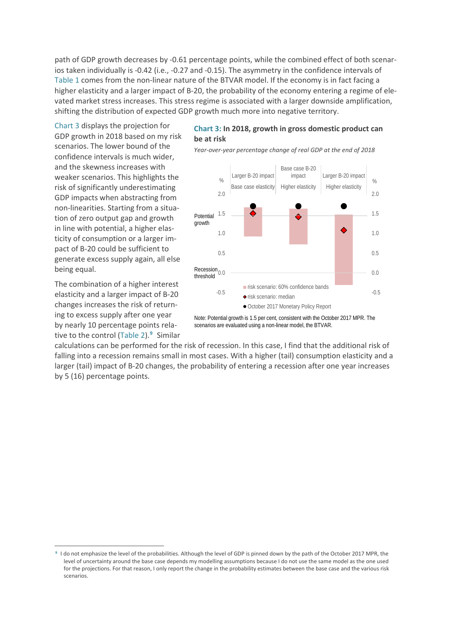path of GDP growth decreases by -0.61 percentage points, while the combined effect of both scenarios taken individually is -0.42 (i.e., -0.27 and -0.15). The asymmetry in the confidence intervals of Table 1 comes from the non-linear nature of the BTVAR model. If the economy is in fact facing a higher elasticity and a larger impact of B-20, the probability of the economy entering a regime of elevated market stress increases. This stress regime is associated with a larger downside amplification, shifting the distribution of expected GDP growth much more into negative territory.

Chart 3 displays the projection for GDP growth in 2018 based on my risk scenarios. The lower bound of the confidence intervals is much wider, and the skewness increases with weaker scenarios. This highlights the risk of significantly underestimating GDP impacts when abstracting from non-linearities. Starting from a situation of zero output gap and growth in line with potential, a higher elasticity of consumption or a larger impact of B-20 could be sufficient to generate excess supply again, all else being equal.

The combination of a higher interest elasticity and a larger impact of B-20 changes increases the risk of returning to excess supply after one year by nearly 10 percentage points relative to the control (Table 2).**[9](#page-8-0)** Similar

 $\overline{a}$ 

#### **Chart 3: In 2018, growth in gross domestic product can be at risk**

*Year-over-year percentage change of real GDP at the end of 2018*



Note: Potential growth is 1.5 per cent, consistent with the October 2017 MPR. The scenarios are evaluated using a non-linear model, the BTVAR.

calculations can be performed for the risk of recession. In this case, I find that the additional risk of falling into a recession remains small in most cases. With a higher (tail) consumption elasticity and a larger (tail) impact of B-20 changes, the probability of entering a recession after one year increases by 5 (16) percentage points.

<span id="page-8-0"></span>**<sup>9</sup>** I do not emphasize the level of the probabilities. Although the level of GDP is pinned down by the path of the October 2017 MPR, the level of uncertainty around the base case depends my modelling assumptions because I do not use the same model as the one used for the projections. For that reason, I only report the change in the probability estimates between the base case and the various risk scenarios.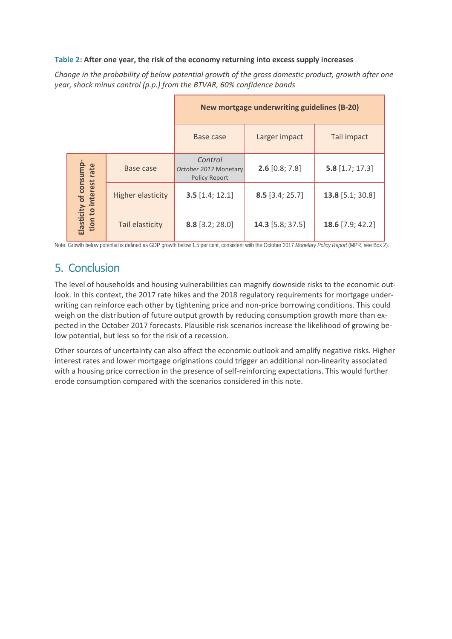#### **Table 2: After one year, the risk of the economy returning into excess supply increases**

*Change in the probability of below potential growth of the gross domestic product, growth after one year, shock minus control (p.p.) from the BTVAR, 60% confidence bands*

|                                                 |                          | New mortgage underwriting guidelines (B-20)              |                   |                    |
|-------------------------------------------------|--------------------------|----------------------------------------------------------|-------------------|--------------------|
|                                                 |                          | Base case                                                | Larger impact     | Tail impact        |
| Elasticity of consump-<br>tion to interest rate | Base case                | Control<br>October 2017 Monetary<br><b>Policy Report</b> | $2.6$ [0.8; 7.8]  | $5.8$ [1.7; 17.3]  |
|                                                 | <b>Higher elasticity</b> | $3.5$ [1.4; 12.1]                                        | $8.5$ [3.4; 25.7] | $13.8$ [5.1; 30.8] |
|                                                 | Tail elasticity          | 8.8 [3.2; 28.0]                                          | 14.3 [5.8; 37.5]  | 18.6 $[7.9; 42.2]$ |

Note: Growth below potential is defined as GDP growth below 1.5 per cent, consistent with the October 2017 *Monetary Policy Report* (MPR, see Box 2).

## 5. Conclusion

The level of households and housing vulnerabilities can magnify downside risks to the economic outlook. In this context, the 2017 rate hikes and the 2018 regulatory requirements for mortgage underwriting can reinforce each other by tightening price and non-price borrowing conditions. This could weigh on the distribution of future output growth by reducing consumption growth more than expected in the October 2017 forecasts. Plausible risk scenarios increase the likelihood of growing below potential, but less so for the risk of a recession.

Other sources of uncertainty can also affect the economic outlook and amplify negative risks. Higher interest rates and lower mortgage originations could trigger an additional non-linearity associated with a housing price correction in the presence of self-reinforcing expectations. This would further erode consumption compared with the scenarios considered in this note.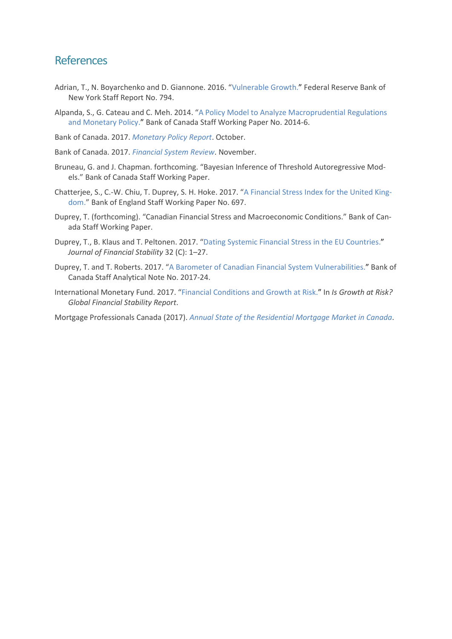### References

- Adrian, T., N. Boyarchenko and D. Giannone. 2016. ["Vulnerable Growth.](https://www.newyorkfed.org/medialibrary/media/research/staff_reports/sr794.pdf?la=en)" Federal Reserve Bank of New York Staff Report No. 794.
- Alpanda, S., G. Cateau and C. Meh. 2014. ["A Policy Model to Analyze Macroprudential Regulations](http://www.bankofcanada.ca/2014/02/working-paper-2014-6/)  [and Monetary Policy.](http://www.bankofcanada.ca/2014/02/working-paper-2014-6/)" Bank of Canada Staff Working Paper No. 2014-6.

Bank of Canada. 2017. *[Monetary Policy Report](https://www.bankofcanada.ca/wp-content/uploads/2017/10/mpr-2017-10-25.pdf)*. October.

- Bank of Canada. 2017. *[Financial System Review](https://www.bankofcanada.ca/wp-content/uploads/2017/11/fsr-november2017.pdf)*. November.
- Bruneau, G. and J. Chapman. forthcoming. "Bayesian Inference of Threshold Autoregressive Models." Bank of Canada Staff Working Paper.
- Chatterjee, S., C.-W. Chiu, T. Duprey, S. H. Hoke. 2017. ["A Financial Stress Index for the United King](https://www.bankofengland.co.uk/working-paper/2017/a-financial-stress-index-for-the-united-kingdom)[dom.](https://www.bankofengland.co.uk/working-paper/2017/a-financial-stress-index-for-the-united-kingdom)" Bank of England Staff Working Paper No. 697.
- Duprey, T. (forthcoming). "Canadian Financial Stress and Macroeconomic Conditions." Bank of Canada Staff Working Paper.
- Duprey, T., B. Klaus and T. Peltonen. 2017. ["Dating Systemic Financial Stress in the EU Countries.](https://www.sciencedirect.com/science/article/pii/S1572308917305016)" *Journal of Financial Stability* 32 (C): 1–27.
- Duprey, T. and T. Roberts. 2017. ["A Barometer of Canadian Financial System Vulnerabilities.](http://www.bankofcanada.ca/wp-content/uploads/2017/12/san2017-24.pdf)" Bank of Canada Staff Analytical Note No. 2017-24.
- International Monetary Fund. 2017. ["Financial Conditions and Growth at Risk.](https://www.imf.org/en/Publications/GFSR/Issues/2017/09/27/global-financial-stability-report-october-2017)" In *Is Growth at Risk? Global Financial Stability Report*.

Mortgage Professionals Canada (2017). *[Annual State of the Residential Mortgage Market in Canada](https://mortgageproscan.ca/en/site/doc/40784)*.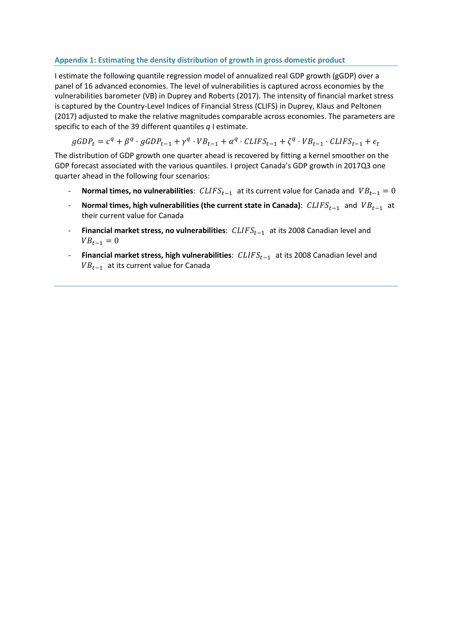#### **Appendix 1: Estimating the density distribution of growth in gross domestic product**

I estimate the following quantile regression model of annualized real GDP growth (gGDP) over a panel of 16 advanced economies. The level of vulnerabilities is captured across economies by the vulnerabilities barometer (VB) in Duprey and Roberts (2017). The intensity of financial market stress is captured by the Country-Level Indices of Financial Stress (CLIFS) in Duprey, Klaus and Peltonen (2017) adjusted to make the relative magnitudes comparable across economies. The parameters are specific to each of the 39 different quantiles *q* I estimate.

$$
gGDP_t = c^q + \beta^q \cdot gGDP_{t-1} + \gamma^q \cdot VB_{t-1} + \alpha^q \cdot CLIFS_{t-1} + \zeta^q \cdot VB_{t-1} \cdot CLIFS_{t-1} + \epsilon_t
$$

The distribution of GDP growth one quarter ahead is recovered by fitting a kernel smoother on the GDP forecast associated with the various quantiles. I project Canada's GDP growth in 2017Q3 one quarter ahead in the following four scenarios:

- **- Normal times, no vulnerabilities**:  $CLIFS_{t-1}$  at its current value for Canada and  $VB_{t-1} = 0$
- **Normal times, high vulnerabilities (the current state in Canada)**:  $CLIFS_{t-1}$  and  $VB_{t-1}$  at their current value for Canada
- **Financial market stress, no vulnerabilities**: CLIFS<sub>t−1</sub> at its 2008 Canadian level and  $VB_{t-1} = 0$
- **Financial market stress, high vulnerabilities**:  $CLIFS_{t-1}$  at its 2008 Canadian level and  $VB_{t-1}$  at its current value for Canada